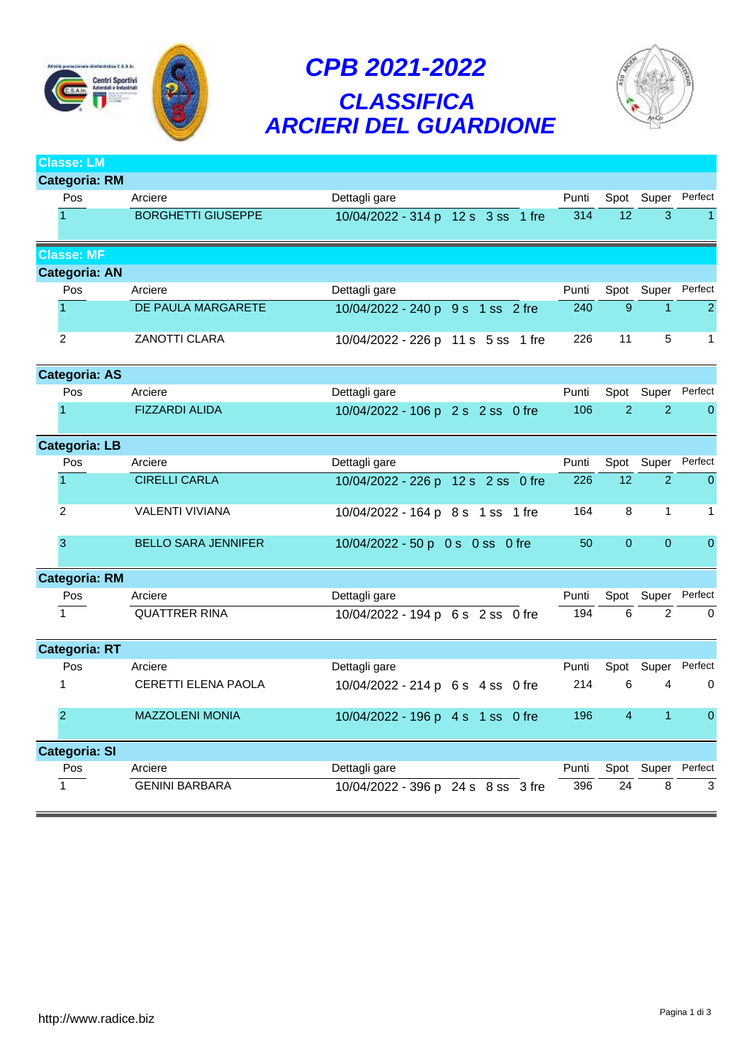

## *CPB 2021-2022 CLASSIFICA ARCIERI DEL GUARDIONE*



| Classe: LM           |                            |                                    |                  |                 |                |                |
|----------------------|----------------------------|------------------------------------|------------------|-----------------|----------------|----------------|
| <b>Categoria: RM</b> |                            |                                    |                  |                 |                |                |
| Pos                  | Arciere                    | Dettagli gare                      | Punti            | Spot            | Super          | Perfect        |
| 1                    | <b>BORGHETTI GIUSEPPE</b>  | 10/04/2022 - 314 p 12 s 3 ss 1 fre | $\overline{314}$ | $\overline{12}$ | $\overline{3}$ |                |
| <b>Classe: MF</b>    |                            |                                    |                  |                 |                |                |
| <b>Categoria: AN</b> |                            |                                    |                  |                 |                |                |
| Pos                  | Arciere                    | Dettagli gare                      | Punti            | Spot            |                | Super Perfect  |
| $\overline{1}$       | DE PAULA MARGARETE         | 10/04/2022 - 240 p 9 s 1 ss 2 fre  | 240              | 9               | $\mathbf{1}$   | $\overline{2}$ |
| 2                    | ZANOTTI CLARA              | 10/04/2022 - 226 p 11 s 5 ss 1 fre | 226              | 11              | 5              | 1              |
| <b>Categoria: AS</b> |                            |                                    |                  |                 |                |                |
| Pos                  | Arciere                    | Dettagli gare                      | Punti            | Spot            | Super          | Perfect        |
| 1                    | <b>FIZZARDI ALIDA</b>      | 10/04/2022 - 106 p 2 s 2 ss 0 fre  | 106              | $\overline{2}$  | $\overline{2}$ | $\overline{0}$ |
| <b>Categoria: LB</b> |                            |                                    |                  |                 |                |                |
| Pos                  | Arciere                    | Dettagli gare                      | Punti            | Spot            | Super          | Perfect        |
| 1                    | <b>CIRELLI CARLA</b>       | 10/04/2022 - 226 p 12 s 2 ss 0 fre | 226              | 12              | $\overline{2}$ | $\overline{0}$ |
| 2                    | <b>VALENTI VIVIANA</b>     | 10/04/2022 - 164 p 8 s 1 ss 1 fre  | 164              | 8               | $\mathbf{1}$   | $\mathbf 1$    |
| 3                    | <b>BELLO SARA JENNIFER</b> | 10/04/2022 - 50 p 0 s 0 ss 0 fre   | 50               | $\Omega$        | $\mathbf{0}$   | $\overline{0}$ |
| <b>Categoria: RM</b> |                            |                                    |                  |                 |                |                |
| Pos                  | Arciere                    | Dettagli gare                      | Punti            | Spot            | Super          | Perfect        |
| $\mathbf{1}$         | <b>QUATTRER RINA</b>       | 10/04/2022 - 194 p 6 s 2 ss 0 fre  | 194              | 6               | $\overline{2}$ | $\Omega$       |
| <b>Categoria: RT</b> |                            |                                    |                  |                 |                |                |
| Pos                  | Arciere                    | Dettagli gare                      | Punti            | Spot            | Super          | Perfect        |
| $\mathbf{1}$         | CERETTI ELENA PAOLA        | 10/04/2022 - 214 p 6 s 4 ss 0 fre  | 214              | 6               | 4              | $\mathbf 0$    |
| $\overline{2}$       | <b>MAZZOLENI MONIA</b>     | 10/04/2022 - 196 p 4 s 1 ss 0 fre  | 196              | $\overline{4}$  | $\mathbf{1}$   | $\mathbf 0$    |
| <b>Categoria: SI</b> |                            |                                    |                  |                 |                |                |
| Pos                  | Arciere                    | Dettagli gare                      | Punti            | Spot            | Super          | Perfect        |
| $\mathbf{1}$         | <b>GENINI BARBARA</b>      | 10/04/2022 - 396 p 24 s 8 ss 3 fre | 396              | 24              | 8              | 3              |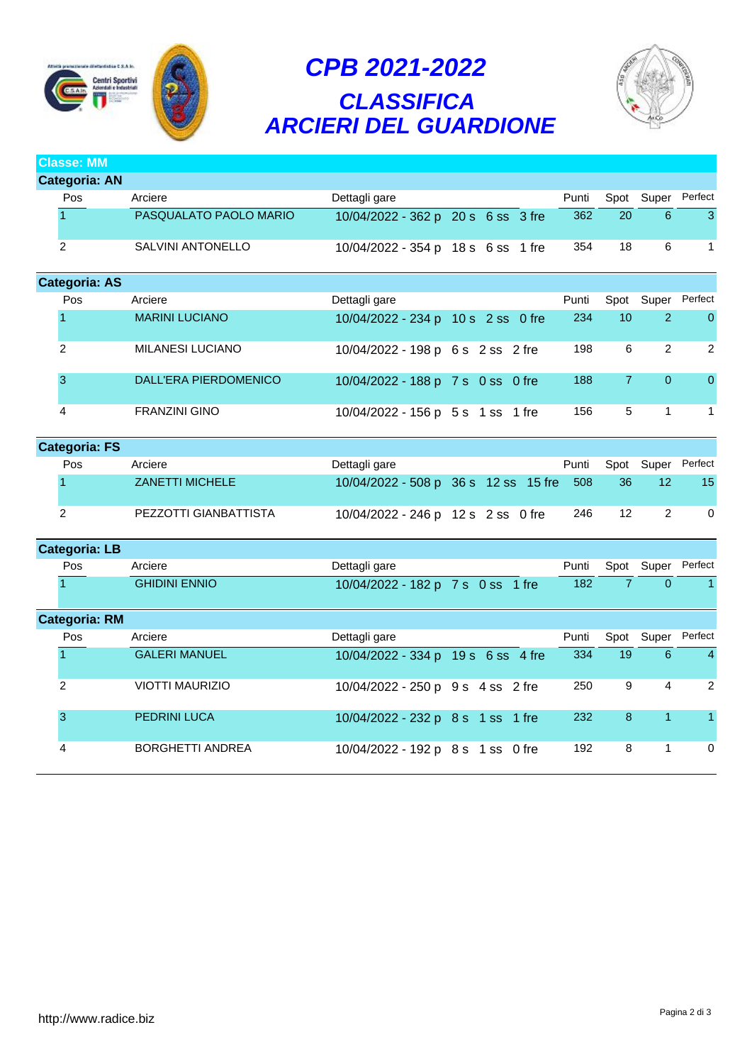

## *CPB 2021-2022 CLASSIFICA ARCIERI DEL GUARDIONE*



**Classe: MM**

|  | Categoria: AN        |                         |                                    |  |       |                 |                |                |
|--|----------------------|-------------------------|------------------------------------|--|-------|-----------------|----------------|----------------|
|  | Pos                  | Arciere                 | Dettagli gare                      |  | Punti | Spot            | Super          | Perfect        |
|  |                      | PASQUALATO PAOLO MARIO  | 10/04/2022 - 362 p 20 s 6 ss 3 fre |  | 362   | 20              | 6              | 3              |
|  | 2                    | SALVINI ANTONELLO       | 10/04/2022 - 354 p 18 s 6 ss 1 fre |  | 354   | 18              | 6              | 1              |
|  | <b>Categoria: AS</b> |                         |                                    |  |       |                 |                |                |
|  | Pos                  | Arciere                 | Dettagli gare                      |  | Punti | Spot            |                | Super Perfect  |
|  |                      | <b>MARINI LUCIANO</b>   | 10/04/2022 - 234 p 10 s 2 ss 0 fre |  | 234   | 10 <sup>°</sup> | $\overline{2}$ | $\Omega$       |
|  | 2                    | <b>MILANESI LUCIANO</b> | 10/04/2022 - 198 p 6 s 2 ss 2 fre  |  | 198   | 6               | 2              | $\overline{2}$ |
|  | 3                    | DALL'ERA PIERDOMENICO   | 10/04/2022 - 188 p 7 s 0 ss 0 fre  |  | 188   | $\overline{7}$  | $\overline{0}$ | $\mathbf{0}$   |
|  | 4                    | <b>FRANZINI GINO</b>    | 10/04/2022 - 156 p 5 s 1 ss 1 fre  |  | 156   | 5               | 1              | 1              |

| Categoria: FS |                        |                                          |  |       |    |            |                 |
|---------------|------------------------|------------------------------------------|--|-------|----|------------|-----------------|
| Pos           | Arciere                | Dettagli gare                            |  | Punti |    | Spot Super | Perfect         |
|               | <b>ZANETTI MICHELE</b> | 10/04/2022 - 508 p 36 s 12 ss 15 fre 508 |  |       | 36 |            | 15 <sup>1</sup> |
|               | PEZZOTTI GIANBATTISTA  | 10/04/2022 - 246 p 12 s 2 ss 0 fre       |  | 246   | 12 |            |                 |

## **Categoria: LB** Pos Arciere **Dettagli gare** Dettagli gare Punti Spot Super Perfect 1 GHIDINI ENNIO 10/04/2022 - 182 p 7 s 0 ss 1 fre 182 7 0 1

|  | <b>Categoria: RM</b> |                         |                                    |       |    |            |                |
|--|----------------------|-------------------------|------------------------------------|-------|----|------------|----------------|
|  | <b>Pos</b>           | Arciere                 | Dettagli gare                      | Punti |    | Spot Super | Perfect        |
|  |                      | <b>GALERI MANUEL</b>    | 10/04/2022 - 334 p 19 s 6 ss 4 fre | 334   | 19 | 6          | $\overline{4}$ |
|  | $\overline{2}$       | <b>VIOTTI MAURIZIO</b>  | 10/04/2022 - 250 p 9 s 4 ss 2 fre  | 250   | 9  | 4          | $\mathcal{P}$  |
|  | 3                    | <b>PEDRINI LUCA</b>     | 10/04/2022 - 232 p 8 s 1 ss 1 fre  | 232   | 8  |            | $\mathbf{1}$   |
|  | 4                    | <b>BORGHETTI ANDREA</b> | 10/04/2022 - 192 p 8 s 1 ss 0 fre  | 192   | 8  |            | 0              |